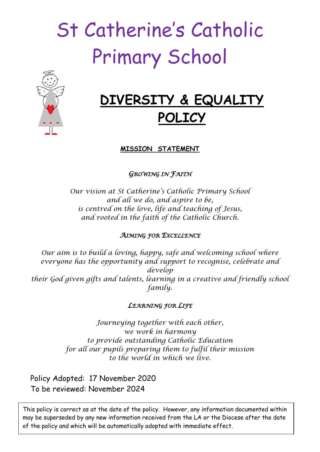# St Catherine's Catholic Primary School



# **DIVERSITY & EQUALITY POLICY**

**MISSION STATEMENT**

*GROWING IN FAITH* 

*Our vision at St Catherine's Catholic Primary School and all we do, and aspire to be, is centred on the love, life and teaching of Jesus, and rooted in the faith of the Catholic Church.*

# *AIMING FOR EXCELLENCE*

*Our aim is to build a loving, happy, safe and welcoming school where everyone has the opportunity and support to recognise, celebrate and develop their God given gifts and talents, learning in a creative and friendly school family.*

# *LEARNING FOR LIFE*

*Journeying together with each other, we work in harmony to provide outstanding Catholic Education for all our pupils preparing them to fulfil their mission to the world in which we live.*

Policy Adopted: 17 November 2020 To be reviewed: November 2024

This policy is correct as at the date of the policy. However, any information documented within may be superseded by any new information received from the LA or the Diocese after the date of the policy and which will be automatically adopted with immediate effect.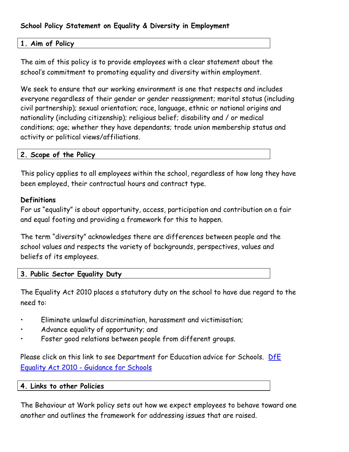## **School Policy Statement on Equality & Diversity in Employment**

# **1. Aim of Policy**

The aim of this policy is to provide employees with a clear statement about the school's commitment to promoting equality and diversity within employment.

We seek to ensure that our working environment is one that respects and includes everyone regardless of their gender or gender reassignment; marital status (including civil partnership); sexual orientation; race, language, ethnic or national origins and nationality (including citizenship); religious belief; disability and / or medical conditions; age; whether they have dependants; trade union membership status and activity or political views/affiliations.

#### **2. Scope of the Policy**

This policy applies to all employees within the school, regardless of how long they have been employed, their contractual hours and contract type.

#### **Definitions**

For us "equality" is about opportunity, access, participation and contribution on a fair and equal footing and providing a framework for this to happen.

The term "diversity" acknowledges there are differences between people and the school values and respects the variety of backgrounds, perspectives, values and beliefs of its employees.

#### **3. Public Sector Equality Duty**

The Equality Act 2010 places a statutory duty on the school to have due regard to the need to:

- Eliminate unlawful discrimination, harassment and victimisation;
- Advance equality of opportunity; and
- Foster good relations between people from different groups.

Please click on this link to see Department for Education advice for Schools. DfE Equality Act 2010 - [Guidance for Schools](http://www.education.gov.uk/aboutdfe/policiesandprocedures/equalityanddiversity/a0064570/the-equality-act-2010)

#### **4. Links to other Policies**

The Behaviour at Work policy sets out how we expect employees to behave toward one another and outlines the framework for addressing issues that are raised.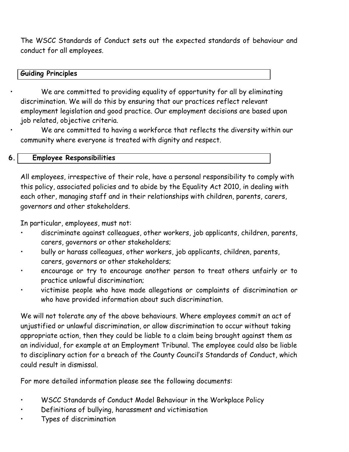The WSCC Standards of Conduct sets out the expected standards of behaviour and conduct for all employees.

#### **Guiding Principles**

We are committed to providing equality of opportunity for all by eliminating discrimination. We will do this by ensuring that our practices reflect relevant employment legislation and good practice. Our employment decisions are based upon job related, objective criteria.

We are committed to having a workforce that reflects the diversity within our community where everyone is treated with dignity and respect.

### **6. Employee Responsibilities**

All employees, irrespective of their role, have a personal responsibility to comply with this policy, associated policies and to abide by the Equality Act 2010, in dealing with each other, managing staff and in their relationships with children, parents, carers, governors and other stakeholders.

In particular, employees, must not:

- discriminate against colleagues, other workers, job applicants, children, parents, carers, governors or other stakeholders;
- bully or harass colleagues, other workers, job applicants, children, parents, carers, governors or other stakeholders;
- encourage or try to encourage another person to treat others unfairly or to practice unlawful discrimination;
- victimise people who have made allegations or complaints of discrimination or who have provided information about such discrimination.

We will not tolerate any of the above behaviours. Where employees commit an act of unjustified or unlawful discrimination, or allow discrimination to occur without taking appropriate action, then they could be liable to a claim being brought against them as an individual, for example at an Employment Tribunal. The employee could also be liable to disciplinary action for a breach of the County Council's Standards of Conduct, which could result in dismissal.

For more detailed information please see the following documents:

- WSCC Standards of Conduct Model Behaviour in the Workplace Policy
- Definitions of bullying, harassment and victimisation
- Types of discrimination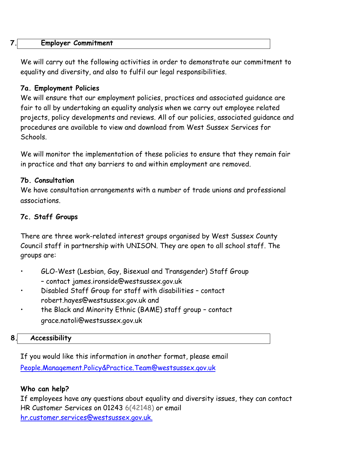| $\mathbf{7}.$ |  | <b>Employer Commitment</b> |
|---------------|--|----------------------------|
|---------------|--|----------------------------|

We will carry out the following activities in order to demonstrate our commitment to equality and diversity, and also to fulfil our legal responsibilities.

#### **7a. Employment Policies**

We will ensure that our employment policies, practices and associated guidance are fair to all by undertaking an equality analysis when we carry out employee related projects, policy developments and reviews. All of our policies, associated guidance and procedures are available to view and download from West Sussex Services for Schools.

We will monitor the implementation of these policies to ensure that they remain fair in practice and that any barriers to and within employment are removed.

#### **7b. Consultation**

We have consultation arrangements with a number of trade unions and professional associations.

#### **7c. Staff Groups**

There are three work-related interest groups organised by West Sussex County Council staff in partnership with UNISON. They are open to all school staff. The groups are:

- GLO-West (Lesbian, Gay, Bisexual and Transgender) Staff Group – contact james.ironside@westsussex.gov.uk
- Disabled Staff Group for staff with disabilities contact robert.hayes@westsussex.gov.uk and
- the Black and Minority Ethnic (BAME) staff group contact grace.natoli@westsussex.gov.uk

#### **8. Accessibility**

If you would like this information in another format, please email [People.Management.Policy&Practice.Team@westsussex.gov.uk](mailto:People.Management.Policy&Practice.Team@westsussex.gov.uk)

#### **Who can help?**

If employees have any questions about equality and diversity issues, they can contact HR Customer Services on 01243 6(42148) or email [hr.customer.services@westsussex.gov.uk.](mailto:hr.customer.services@westsussex.gov.uk)